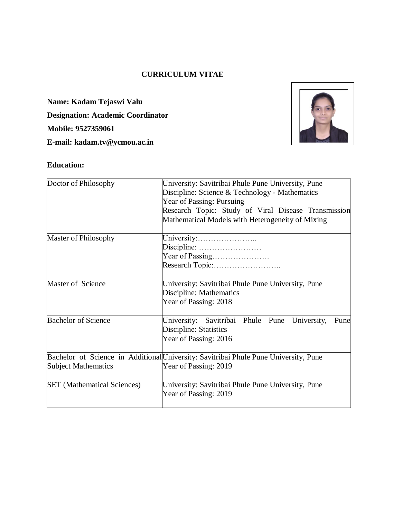## **CURRICULUM VITAE**

**Name: Kadam Tejaswi Valu Designation: Academic Coordinator Mobile: 9527359061 E-mail: kadam.tv@ycmou.ac.in**



# **Education:**

| Doctor of Philosophy               | University: Savitribai Phule Pune University, Pune<br>Discipline: Science & Technology - Mathematics        |  |  |  |  |
|------------------------------------|-------------------------------------------------------------------------------------------------------------|--|--|--|--|
|                                    | Year of Passing: Pursuing                                                                                   |  |  |  |  |
|                                    | Research Topic: Study of Viral Disease Transmission                                                         |  |  |  |  |
|                                    | Mathematical Models with Heterogeneity of Mixing                                                            |  |  |  |  |
| Master of Philosophy               | University:                                                                                                 |  |  |  |  |
|                                    | Discipline:                                                                                                 |  |  |  |  |
|                                    | Year of Passing                                                                                             |  |  |  |  |
|                                    |                                                                                                             |  |  |  |  |
| Master of Science                  | University: Savitribai Phule Pune University, Pune<br>Discipline: Mathematics                               |  |  |  |  |
|                                    | Year of Passing: 2018                                                                                       |  |  |  |  |
| <b>Bachelor of Science</b>         | University: Savitribai Phule Pune<br>University,<br>Pune<br>Discipline: Statistics<br>Year of Passing: 2016 |  |  |  |  |
|                                    | Bachelor of Science in Additional University: Savitribai Phule Pune University, Pune                        |  |  |  |  |
| Subject Mathematics                | Year of Passing: 2019                                                                                       |  |  |  |  |
| <b>SET</b> (Mathematical Sciences) | University: Savitribai Phule Pune University, Pune                                                          |  |  |  |  |
|                                    | Year of Passing: 2019                                                                                       |  |  |  |  |